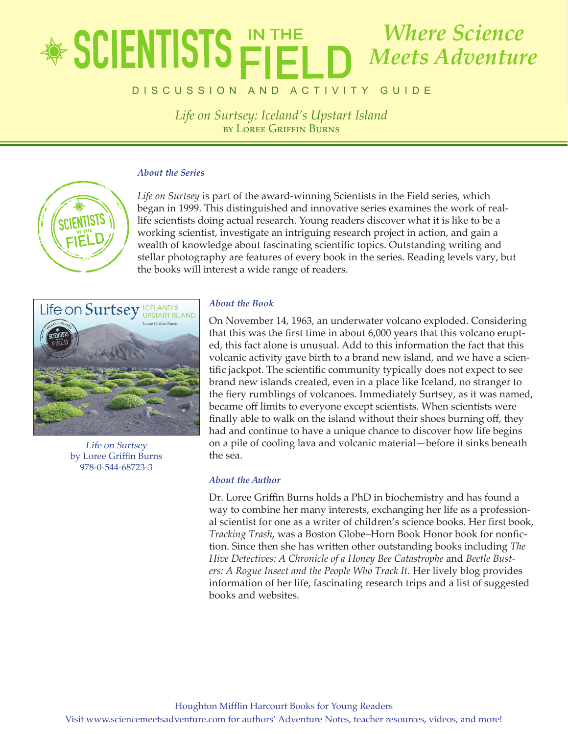## lete in the state of  $\blacksquare$ by Loree Griffin Burns *Where Science Meets Adventure*

DISCUSSION AND ACTIVITY GUIDE

*Life on Surtsey: Iceland's Upstart Island* by LOREE GRIFFIN BURNS

#### *About the Series*



*Life on Surtsey* is part of the award-winning Scientists in the Field series, which began in 1999. This distinguished and innovative series examines the work of reallife scientists doing actual research. Young readers discover what it is like to be a working scientist, investigate an intriguing research project in action, and gain a wealth of knowledge about fascinating scientific topics. Outstanding writing and stellar photography are features of every book in the series. Reading levels vary, but the books will interest a wide range of readers.



Life on Surtsey by Loree Griffin Burns 978-0-544-68723-3

### *About the Book*

On November 14, 1963, an underwater volcano exploded. Considering that this was the first time in about 6,000 years that this volcano erupted, this fact alone is unusual. Add to this information the fact that this volcanic activity gave birth to a brand new island, and we have a scientific jackpot. The scientific community typically does not expect to see brand new islands created, even in a place like Iceland, no stranger to the fiery rumblings of volcanoes. Immediately Surtsey, as it was named, became off limits to everyone except scientists. When scientists were finally able to walk on the island without their shoes burning off, they had and continue to have a unique chance to discover how life begins on a pile of cooling lava and volcanic material—before it sinks beneath the sea.

### *About the Author*

Dr. Loree Griffin Burns holds a PhD in biochemistry and has found a way to combine her many interests, exchanging her life as a professional scientist for one as a writer of children's science books. Her first book, *Tracking Trash*, was a Boston Globe–Horn Book Honor book for nonfiction. Since then she has written other outstanding books including *The Hive Detectives: A Chronicle of a Honey Bee Catastrophe* and *Beetle Busters: A Rogue Insect and the People Who Track It*. Her lively blog provides information of her life, fascinating research trips and a list of suggested books and websites.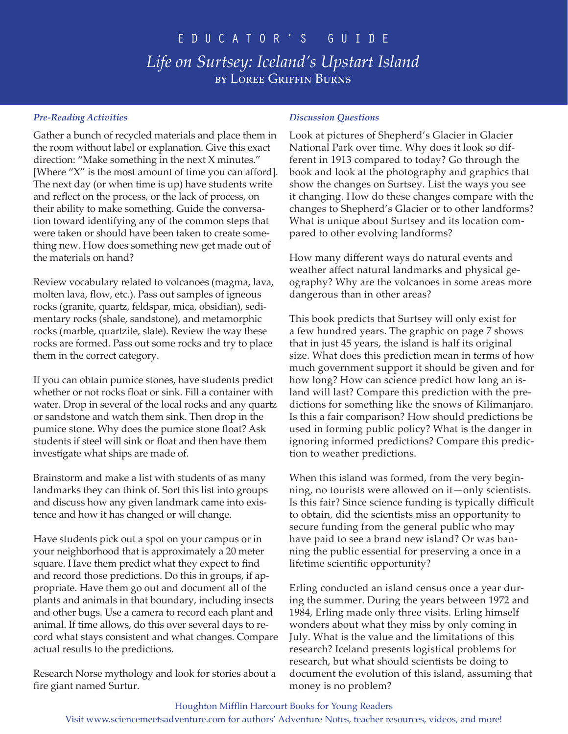## educator's Guide *Life on Surtsey: Iceland's Upstart Island* **BY LOREE GRIFFIN BURNS**

### *Pre-Reading Activities*

Gather a bunch of recycled materials and place them in the room without label or explanation. Give this exact direction: "Make something in the next X minutes." [Where "X" is the most amount of time you can afford]. The next day (or when time is up) have students write and reflect on the process, or the lack of process, on their ability to make something. Guide the conversation toward identifying any of the common steps that were taken or should have been taken to create something new. How does something new get made out of the materials on hand?

Review vocabulary related to volcanoes (magma, lava, molten lava, flow, etc.). Pass out samples of igneous rocks (granite, quartz, feldspar, mica, obsidian), sedimentary rocks (shale, sandstone), and metamorphic rocks (marble, quartzite, slate). Review the way these rocks are formed. Pass out some rocks and try to place them in the correct category.

If you can obtain pumice stones, have students predict whether or not rocks float or sink. Fill a container with water. Drop in several of the local rocks and any quartz or sandstone and watch them sink. Then drop in the pumice stone. Why does the pumice stone float? Ask students if steel will sink or float and then have them investigate what ships are made of.

Brainstorm and make a list with students of as many landmarks they can think of. Sort this list into groups and discuss how any given landmark came into existence and how it has changed or will change.

Have students pick out a spot on your campus or in your neighborhood that is approximately a 20 meter square. Have them predict what they expect to find and record those predictions. Do this in groups, if appropriate. Have them go out and document all of the plants and animals in that boundary, including insects and other bugs. Use a camera to record each plant and animal. If time allows, do this over several days to record what stays consistent and what changes. Compare actual results to the predictions.

Research Norse mythology and look for stories about a fire giant named Surtur.

#### *Discussion Questions*

Look at pictures of Shepherd's Glacier in Glacier National Park over time. Why does it look so different in 1913 compared to today? Go through the book and look at the photography and graphics that show the changes on Surtsey. List the ways you see it changing. How do these changes compare with the changes to Shepherd's Glacier or to other landforms? What is unique about Surtsey and its location compared to other evolving landforms?

How many different ways do natural events and weather affect natural landmarks and physical geography? Why are the volcanoes in some areas more dangerous than in other areas?

This book predicts that Surtsey will only exist for a few hundred years. The graphic on page 7 shows that in just 45 years, the island is half its original size. What does this prediction mean in terms of how much government support it should be given and for how long? How can science predict how long an island will last? Compare this prediction with the predictions for something like the snows of Kilimanjaro. Is this a fair comparison? How should predictions be used in forming public policy? What is the danger in ignoring informed predictions? Compare this prediction to weather predictions.

When this island was formed, from the very beginning, no tourists were allowed on it—only scientists. Is this fair? Since science funding is typically difficult to obtain, did the scientists miss an opportunity to secure funding from the general public who may have paid to see a brand new island? Or was banning the public essential for preserving a once in a lifetime scientific opportunity?

Erling conducted an island census once a year during the summer. During the years between 1972 and 1984, Erling made only three visits. Erling himself wonders about what they miss by only coming in July. What is the value and the limitations of this research? Iceland presents logistical problems for research, but what should scientists be doing to document the evolution of this island, assuming that money is no problem?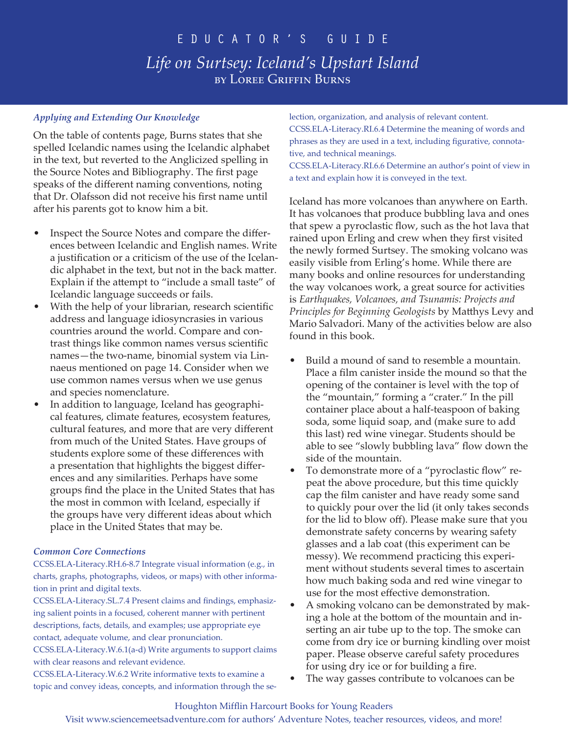### *Applying and Extending Our Knowledge*

On the table of contents page, Burns states that she spelled Icelandic names using the Icelandic alphabet in the text, but reverted to the Anglicized spelling in the Source Notes and Bibliography. The first page speaks of the different naming conventions, noting that Dr. Olafsson did not receive his first name until after his parents got to know him a bit.

- Inspect the Source Notes and compare the differences between Icelandic and English names. Write a justification or a criticism of the use of the Icelandic alphabet in the text, but not in the back matter. Explain if the attempt to "include a small taste" of Icelandic language succeeds or fails.
- With the help of your librarian, research scientific address and language idiosyncrasies in various countries around the world. Compare and contrast things like common names versus scientific names—the two-name, binomial system via Linnaeus mentioned on page 14. Consider when we use common names versus when we use genus and species nomenclature.
- In addition to language, Iceland has geographical features, climate features, ecosystem features, cultural features, and more that are very different from much of the United States. Have groups of students explore some of these differences with a presentation that highlights the biggest differences and any similarities. Perhaps have some groups find the place in the United States that has the most in common with Iceland, especially if the groups have very different ideas about which place in the United States that may be.

### *Common Core Connections*

CCSS.ELA-Literacy.RH.6-8.7 Integrate visual information (e.g., in charts, graphs, photographs, videos, or maps) with other information in print and digital texts.

CCSS.ELA-Literacy.SL.7.4 Present claims and findings, emphasizing salient points in a focused, coherent manner with pertinent descriptions, facts, details, and examples; use appropriate eye contact, adequate volume, and clear pronunciation.

CCSS.ELA-Literacy.W.6.1(a-d) Write arguments to support claims with clear reasons and relevant evidence.

CCSS.ELA-Literacy.W.6.2 Write informative texts to examine a topic and convey ideas, concepts, and information through the selection, organization, and analysis of relevant content.

CCSS.ELA-Literacy.RI.6.4 Determine the meaning of words and phrases as they are used in a text, including figurative, connotative, and technical meanings.

CCSS.ELA-Literacy.RI.6.6 Determine an author's point of view in a text and explain how it is conveyed in the text.

Iceland has more volcanoes than anywhere on Earth. It has volcanoes that produce bubbling lava and ones that spew a pyroclastic flow, such as the hot lava that rained upon Erling and crew when they first visited the newly formed Surtsey. The smoking volcano was easily visible from Erling's home. While there are many books and online resources for understanding the way volcanoes work, a great source for activities is *Earthquakes, Volcanoes, and Tsunamis: Projects and Principles for Beginning Geologists* by Matthys Levy and Mario Salvadori. Many of the activities below are also found in this book.

- Build a mound of sand to resemble a mountain. Place a film canister inside the mound so that the opening of the container is level with the top of the "mountain," forming a "crater." In the pill container place about a half-teaspoon of baking soda, some liquid soap, and (make sure to add this last) red wine vinegar. Students should be able to see "slowly bubbling lava" flow down the side of the mountain.
- To demonstrate more of a "pyroclastic flow" repeat the above procedure, but this time quickly cap the film canister and have ready some sand to quickly pour over the lid (it only takes seconds for the lid to blow off). Please make sure that you demonstrate safety concerns by wearing safety glasses and a lab coat (this experiment can be messy). We recommend practicing this experiment without students several times to ascertain how much baking soda and red wine vinegar to use for the most effective demonstration.
- A smoking volcano can be demonstrated by making a hole at the bottom of the mountain and inserting an air tube up to the top. The smoke can come from dry ice or burning kindling over moist paper. Please observe careful safety procedures for using dry ice or for building a fire.
- The way gasses contribute to volcanoes can be.

### Houghton Mifflin Harcourt Books for Young Readers

Visit www.sciencemeetsadventure.com for authors' Adventure Notes, teacher resources, videos, and more!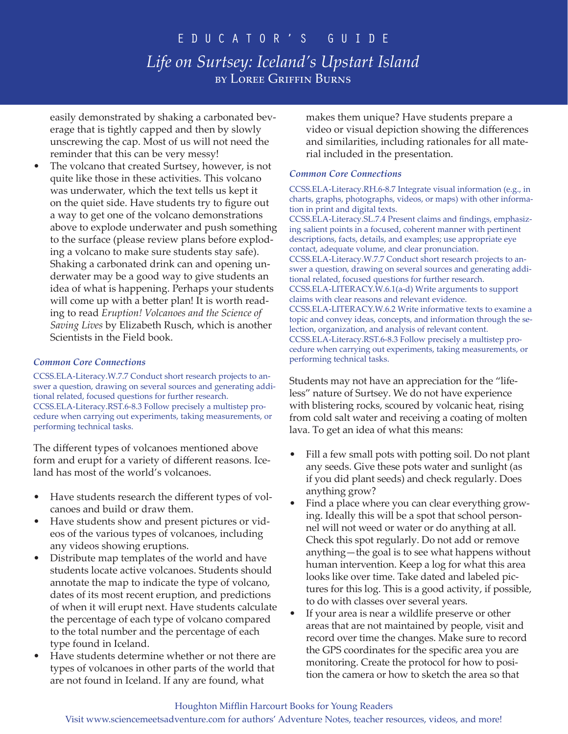easily demonstrated by shaking a carbonated beverage that is tightly capped and then by slowly unscrewing the cap. Most of us will not need the reminder that this can be very messy!

The volcano that created Surtsey, however, is not quite like those in these activities. This volcano was underwater, which the text tells us kept it on the quiet side. Have students try to figure out a way to get one of the volcano demonstrations above to explode underwater and push something to the surface (please review plans before exploding a volcano to make sure students stay safe). Shaking a carbonated drink can and opening underwater may be a good way to give students an idea of what is happening. Perhaps your students will come up with a better plan! It is worth reading to read *Eruption! Volcanoes and the Science of Saving Lives* by Elizabeth Rusch, which is another Scientists in the Field book.

#### *Common Core Connections*

CCSS.ELA-Literacy.W.7.7 Conduct short research projects to answer a question, drawing on several sources and generating additional related, focused questions for further research. CCSS.ELA-Literacy.RST.6-8.3 Follow precisely a multistep procedure when carrying out experiments, taking measurements, or performing technical tasks.

The different types of volcanoes mentioned above form and erupt for a variety of different reasons. Iceland has most of the world's volcanoes.

- Have students research the different types of volcanoes and build or draw them.
- Have students show and present pictures or videos of the various types of volcanoes, including any videos showing eruptions.
- Distribute map templates of the world and have students locate active volcanoes. Students should annotate the map to indicate the type of volcano, dates of its most recent eruption, and predictions of when it will erupt next. Have students calculate the percentage of each type of volcano compared to the total number and the percentage of each type found in Iceland.
- Have students determine whether or not there are types of volcanoes in other parts of the world that are not found in Iceland. If any are found, what

makes them unique? Have students prepare a video or visual depiction showing the differences and similarities, including rationales for all material included in the presentation.

#### *Common Core Connections*

CCSS.ELA-Literacy.RH.6-8.7 Integrate visual information (e.g., in charts, graphs, photographs, videos, or maps) with other information in print and digital texts. CCSS.ELA-Literacy.SL.7.4 Present claims and findings, emphasizing salient points in a focused, coherent manner with pertinent descriptions, facts, details, and examples; use appropriate eye contact, adequate volume, and clear pronunciation. CCSS.ELA-Literacy.W.7.7 Conduct short research projects to answer a question, drawing on several sources and generating additional related, focused questions for further research. CCSS.ELA-LITERACY.W.6.1(a-d) Write arguments to support claims with clear reasons and relevant evidence. CCSS.ELA-LITERACY.W.6.2 Write informative texts to examine a topic and convey ideas, concepts, and information through the selection, organization, and analysis of relevant content. CCSS.ELA-Literacy.RST.6-8.3 Follow precisely a multistep procedure when carrying out experiments, taking measurements, or performing technical tasks.

Students may not have an appreciation for the "lifeless" nature of Surtsey. We do not have experience with blistering rocks, scoured by volcanic heat, rising from cold salt water and receiving a coating of molten lava. To get an idea of what this means:

- Fill a few small pots with potting soil. Do not plant any seeds. Give these pots water and sunlight (as if you did plant seeds) and check regularly. Does anything grow?
- Find a place where you can clear everything growing. Ideally this will be a spot that school personnel will not weed or water or do anything at all. Check this spot regularly. Do not add or remove anything—the goal is to see what happens without human intervention. Keep a log for what this area looks like over time. Take dated and labeled pictures for this log. This is a good activity, if possible, to do with classes over several years.
- If your area is near a wildlife preserve or other areas that are not maintained by people, visit and record over time the changes. Make sure to record the GPS coordinates for the specific area you are monitoring. Create the protocol for how to position the camera or how to sketch the area so that

#### Houghton Mifflin Harcourt Books for Young Readers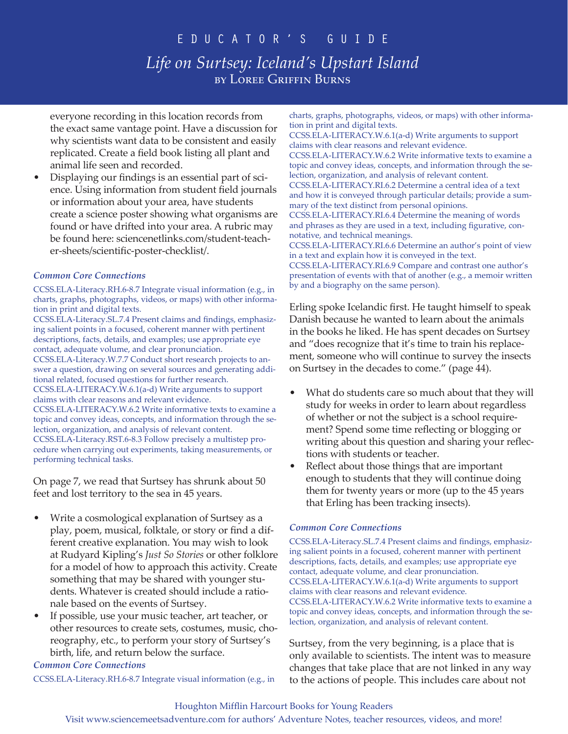everyone recording in this location records from the exact same vantage point. Have a discussion for why scientists want data to be consistent and easily replicated. Create a field book listing all plant and animal life seen and recorded.

• Displaying our findings is an essential part of science. Using information from student field journals or information about your area, have students create a science poster showing what organisms are found or have drifted into your area. A rubric may be found here: sciencenetlinks.com/student-teacher-sheets/scientific-poster-checklist/.

#### *Common Core Connections*

CCSS.ELA-Literacy.RH.6-8.7 Integrate visual information (e.g., in charts, graphs, photographs, videos, or maps) with other information in print and digital texts.

CCSS.ELA-Literacy.SL.7.4 Present claims and findings, emphasizing salient points in a focused, coherent manner with pertinent descriptions, facts, details, and examples; use appropriate eye contact, adequate volume, and clear pronunciation. CCSS.ELA-Literacy.W.7.7 Conduct short research projects to answer a question, drawing on several sources and generating additional related, focused questions for further research. CCSS.ELA-LITERACY.W.6.1(a-d) Write arguments to support claims with clear reasons and relevant evidence. CCSS.ELA-LITERACY.W.6.2 Write informative texts to examine a topic and convey ideas, concepts, and information through the selection, organization, and analysis of relevant content. CCSS.ELA-Literacy.RST.6-8.3 Follow precisely a multistep procedure when carrying out experiments, taking measurements, or performing technical tasks.

On page 7, we read that Surtsey has shrunk about 50 feet and lost territory to the sea in 45 years.

- Write a cosmological explanation of Surtsey as a play, poem, musical, folktale, or story or find a different creative explanation. You may wish to look at Rudyard Kipling's *Just So Stories* or other folklore for a model of how to approach this activity. Create something that may be shared with younger students. Whatever is created should include a rationale based on the events of Surtsey.
- If possible, use your music teacher, art teacher, or other resources to create sets, costumes, music, choreography, etc., to perform your story of Surtsey's birth, life, and return below the surface.

*Common Core Connections*

CCSS.ELA-Literacy.RH.6-8.7 Integrate visual information (e.g., in

charts, graphs, photographs, videos, or maps) with other information in print and digital texts.

CCSS.ELA-LITERACY.W.6.1(a-d) Write arguments to support claims with clear reasons and relevant evidence.

CCSS.ELA-LITERACY.W.6.2 Write informative texts to examine a topic and convey ideas, concepts, and information through the selection, organization, and analysis of relevant content.

CCSS.ELA-LITERACY.RI.6.2 Determine a central idea of a text and how it is conveyed through particular details; provide a summary of the text distinct from personal opinions.

CCSS.ELA-LITERACY.RI.6.4 Determine the meaning of words and phrases as they are used in a text, including figurative, connotative, and technical meanings.

CCSS.ELA-LITERACY.RI.6.6 Determine an author's point of view in a text and explain how it is conveyed in the text.

CCSS.ELA-LITERACY.RI.6.9 Compare and contrast one author's presentation of events with that of another (e.g., a memoir written by and a biography on the same person).

Erling spoke Icelandic first. He taught himself to speak Danish because he wanted to learn about the animals in the books he liked. He has spent decades on Surtsey and "does recognize that it's time to train his replacement, someone who will continue to survey the insects on Surtsey in the decades to come." (page 44).

- What do students care so much about that they will study for weeks in order to learn about regardless of whether or not the subject is a school requirement? Spend some time reflecting or blogging or writing about this question and sharing your reflections with students or teacher.
- Reflect about those things that are important enough to students that they will continue doing them for twenty years or more (up to the 45 years that Erling has been tracking insects).

#### *Common Core Connections*

CCSS.ELA-Literacy.SL.7.4 Present claims and findings, emphasizing salient points in a focused, coherent manner with pertinent descriptions, facts, details, and examples; use appropriate eye contact, adequate volume, and clear pronunciation. CCSS.ELA-LITERACY.W.6.1(a-d) Write arguments to support claims with clear reasons and relevant evidence. CCSS.ELA-LITERACY.W.6.2 Write informative texts to examine a topic and convey ideas, concepts, and information through the selection, organization, and analysis of relevant content.

Surtsey, from the very beginning, is a place that is only available to scientists. The intent was to measure changes that take place that are not linked in any way to the actions of people. This includes care about not

#### Houghton Mifflin Harcourt Books for Young Readers

Visit www.sciencemeetsadventure.com for authors' Adventure Notes, teacher resources, videos, and more!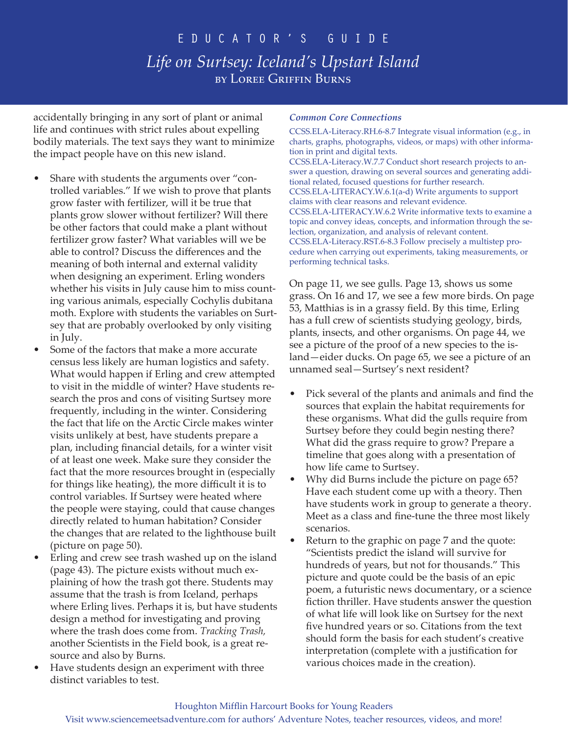accidentally bringing in any sort of plant or animal life and continues with strict rules about expelling bodily materials. The text says they want to minimize the impact people have on this new island.

- Share with students the arguments over "controlled variables." If we wish to prove that plants grow faster with fertilizer, will it be true that plants grow slower without fertilizer? Will there be other factors that could make a plant without fertilizer grow faster? What variables will we be able to control? Discuss the differences and the meaning of both internal and external validity when designing an experiment. Erling wonders whether his visits in July cause him to miss counting various animals, especially Cochylis dubitana moth. Explore with students the variables on Surtsey that are probably overlooked by only visiting in July.
- Some of the factors that make a more accurate census less likely are human logistics and safety. What would happen if Erling and crew attempted to visit in the middle of winter? Have students research the pros and cons of visiting Surtsey more frequently, including in the winter. Considering the fact that life on the Arctic Circle makes winter visits unlikely at best, have students prepare a plan, including financial details, for a winter visit of at least one week. Make sure they consider the fact that the more resources brought in (especially for things like heating), the more difficult it is to control variables. If Surtsey were heated where the people were staying, could that cause changes directly related to human habitation? Consider the changes that are related to the lighthouse built (picture on page 50).
- Erling and crew see trash washed up on the island (page 43). The picture exists without much explaining of how the trash got there. Students may assume that the trash is from Iceland, perhaps where Erling lives. Perhaps it is, but have students design a method for investigating and proving where the trash does come from. *Tracking Trash,* another Scientists in the Field book, is a great resource and also by Burns.
- Have students design an experiment with three distinct variables to test.

#### *Common Core Connections*

CCSS.ELA-Literacy.RH.6-8.7 Integrate visual information (e.g., in charts, graphs, photographs, videos, or maps) with other information in print and digital texts. CCSS.ELA-Literacy.W.7.7 Conduct short research projects to answer a question, drawing on several sources and generating additional related, focused questions for further research. CCSS.ELA-LITERACY.W.6.1(a-d) Write arguments to support claims with clear reasons and relevant evidence. CCSS.ELA-LITERACY.W.6.2 Write informative texts to examine a topic and convey ideas, concepts, and information through the selection, organization, and analysis of relevant content. CCSS.ELA-Literacy.RST.6-8.3 Follow precisely a multistep procedure when carrying out experiments, taking measurements, or performing technical tasks.

On page 11, we see gulls. Page 13, shows us some grass. On 16 and 17, we see a few more birds. On page 53, Matthias is in a grassy field. By this time, Erling has a full crew of scientists studying geology, birds, plants, insects, and other organisms. On page 44, we see a picture of the proof of a new species to the island—eider ducks. On page 65, we see a picture of an unnamed seal—Surtsey's next resident?

- Pick several of the plants and animals and find the sources that explain the habitat requirements for these organisms. What did the gulls require from Surtsey before they could begin nesting there? What did the grass require to grow? Prepare a timeline that goes along with a presentation of how life came to Surtsey.
- Why did Burns include the picture on page 65? Have each student come up with a theory. Then have students work in group to generate a theory. Meet as a class and fine-tune the three most likely scenarios.
- Return to the graphic on page 7 and the quote: "Scientists predict the island will survive for hundreds of years, but not for thousands." This picture and quote could be the basis of an epic poem, a futuristic news documentary, or a science fiction thriller. Have students answer the question of what life will look like on Surtsey for the next five hundred years or so. Citations from the text should form the basis for each student's creative interpretation (complete with a justification for various choices made in the creation).